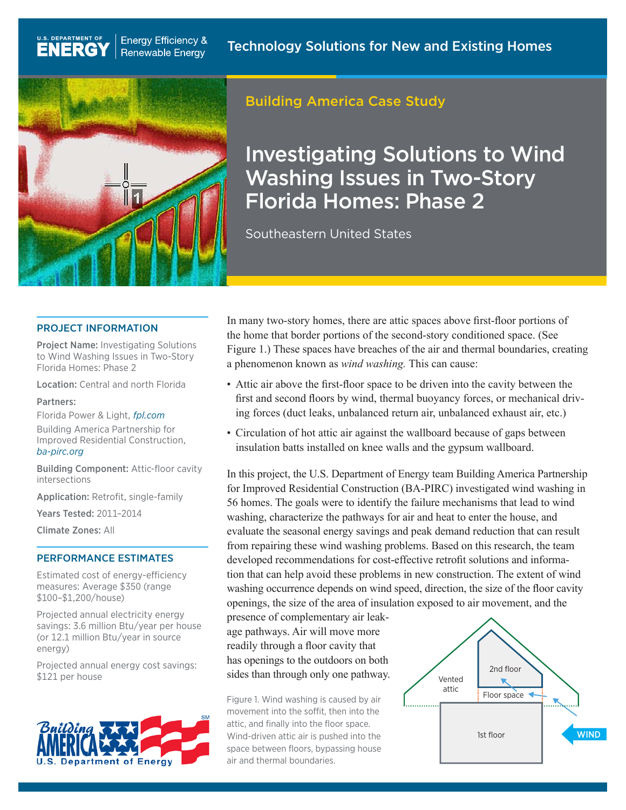

**Energy Efficiency &** 

**Renewable Energy** 

U.S. DEPARTMENT OF

**ENERGY** 

## Building America Case Study

# Investigating Solutions to Wind Washing Issues in Two-Story Florida Homes: Phase 2

Southeastern United States

#### PROJECT INFORMATION

Project Name: Investigating Solutions to Wind Washing Issues in Two-Story Florida Homes: Phase 2

Location: Central and north Florida

#### Partners:

Florida Power & Light, *[fpl.com](http://fpl.com)*

Building America Partnership for Improved Residential Construction, *[ba-pirc.org](http://ba-pirc.org)*

Building Component: Attic-floor cavity intersections

Application: Retrofit, single-family

Years Tested: 2011–2014

Climate Zones: All

#### PERFORMANCE ESTIMATES

Estimated cost of energy-efficiency measures: Average \$350 (range \$100–\$1,200/house)

Projected annual electricity energy savings: 3.6 million Btu/year per house (or 12.1 million Btu/year in source energy)

Projected annual energy cost savings: \$121 per house



In many two-story homes, there are attic spaces above first-floor portions of the home that border portions of the second-story conditioned space. (See Figure 1.) These spaces have breaches of the air and thermal boundaries, creating a phenomenon known as *wind washing.* This can cause:

- Attic air above the first-floor space to be driven into the cavity between the first and second floors by wind, thermal buoyancy forces, or mechanical driving forces (duct leaks, unbalanced return air, unbalanced exhaust air, etc.)
- Circulation of hot attic air against the wallboard because of gaps between insulation batts installed on knee walls and the gypsum wallboard.

In this project, the U.S. Department of Energy team Building America Partnership for Improved Residential Construction (BA-PIRC) investigated wind washing in 56 homes. The goals were to identify the failure mechanisms that lead to wind washing, characterize the pathways for air and heat to enter the house, and evaluate the seasonal energy savings and peak demand reduction that can result from repairing these wind washing problems. Based on this research, the team developed recommendations for cost-effective retrofit solutions and information that can help avoid these problems in new construction. The extent of wind washing occurrence depends on wind speed, direction, the size of the floor cavity openings, the size of the area of insulation exposed to air movement, and the

presence of complementary air leakage pathways. Air will move more readily through a floor cavity that has openings to the outdoors on both sides than through only one pathway.

Figure 1. Wind washing is caused by air movement into the soffit, then into the attic, and finally into the floor space. Wind-driven attic air is pushed into the space between floors, bypassing house air and thermal boundaries.